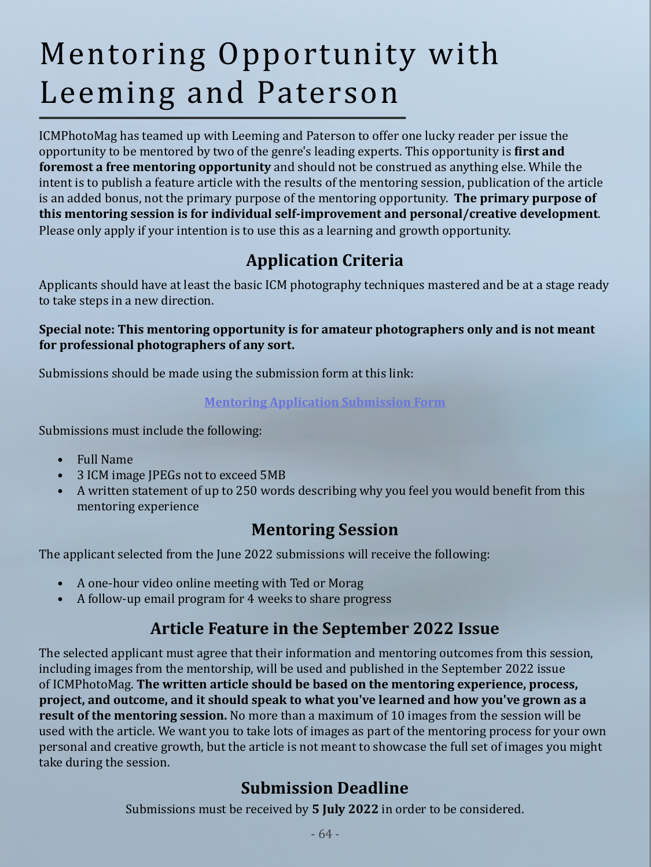# Mentoring Opportunity with Leeming and Paterson

ICMPhotoMag has teamed up with Leeming and Paterson to offer one lucky reader per issue the opportunity to be mentored by two of the genre's leading experts. This opportunity is **first and foremost a free mentoring opportunity** and should not be construed as anything else. While the intent is to publish a feature article with the results of the mentoring session, publication of the article is an added bonus, not the primary purpose of the mentoring opportunity. **The primary purpose of this mentoring session is for individual self-improvement and personal/creative development**. Please only apply if your intention is to use this as a learning and growth opportunity.

# **Application Criteria**

Applicants should have at least the basic ICM photography techniques mastered and be at a stage ready to take steps in a new direction.

#### **Special note: This mentoring opportunity is for amateur photographers only and is not meant for professional photographers of any sort.**

Submissions should be made using the submission form at this link:

#### **[Mentoring Application Submission Form](https://forms.gle/w2PeYzohBtBQjFzG7)**

Submissions must include the following:

- Full Name
- 3 ICM image JPEGs not to exceed 5MB
- A written statement of up to 250 words describing why you feel you would benefit from this mentoring experience

### **Mentoring Session**

The applicant selected from the June 2022 submissions will receive the following:

- A one-hour video online meeting with Ted or Morag
- A follow-up email program for 4 weeks to share progress

## **Article Feature in the September 2022 Issue**

The selected applicant must agree that their information and mentoring outcomes from this session, including images from the mentorship, will be used and published in the September 2022 issue of ICMPhotoMag. **The written article should be based on the mentoring experience, process, project, and outcome, and it should speak to what you've learned and how you've grown as a result of the mentoring session.** No more than a maximum of 10 images from the session will be used with the article. We want you to take lots of images as part of the mentoring process for your own personal and creative growth, but the article is not meant to showcase the full set of images you might take during the session.

## **Submission Deadline**

Submissions must be received by **5 July 2022** in order to be considered.